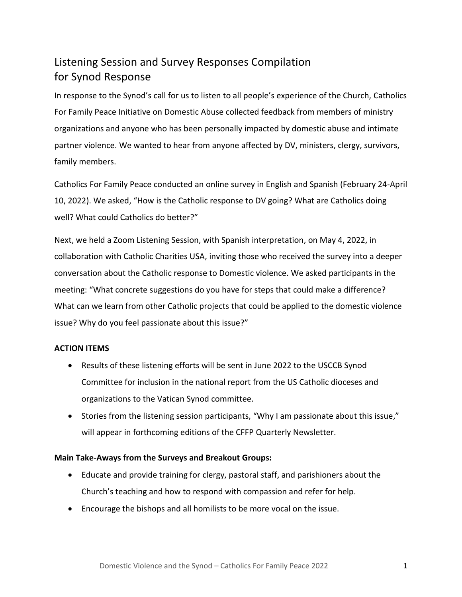# Listening Session and Survey Responses Compilation for Synod Response

In response to the Synod's call for us to listen to all people's experience of the Church, Catholics For Family Peace Initiative on Domestic Abuse collected feedback from members of ministry organizations and anyone who has been personally impacted by domestic abuse and intimate partner violence. We wanted to hear from anyone affected by DV, ministers, clergy, survivors, family members.

Catholics For Family Peace conducted an online survey in English and Spanish (February 24-April 10, 2022). We asked, "How is the Catholic response to DV going? What are Catholics doing well? What could Catholics do better?"

Next, we held a Zoom Listening Session, with Spanish interpretation, on May 4, 2022, in collaboration with Catholic Charities USA, inviting those who received the survey into a deeper conversation about the Catholic response to Domestic violence. We asked participants in the meeting: "What concrete suggestions do you have for steps that could make a difference? What can we learn from other Catholic projects that could be applied to the domestic violence issue? Why do you feel passionate about this issue?"

## **ACTION ITEMS**

- Results of these listening efforts will be sent in June 2022 to the USCCB Synod Committee for inclusion in the national report from the US Catholic dioceses and organizations to the Vatican Synod committee.
- Stories from the listening session participants, "Why I am passionate about this issue," will appear in forthcoming editions of the CFFP Quarterly Newsletter.

## **Main Take-Aways from the Surveys and Breakout Groups:**

- Educate and provide training for clergy, pastoral staff, and parishioners about the Church's teaching and how to respond with compassion and refer for help.
- Encourage the bishops and all homilists to be more vocal on the issue.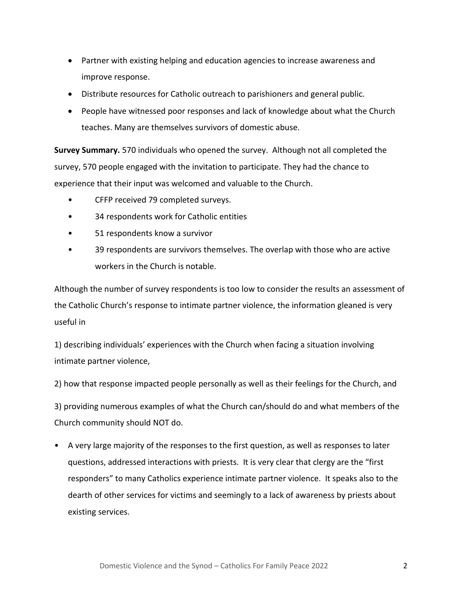- Partner with existing helping and education agencies to increase awareness and improve response.
- Distribute resources for Catholic outreach to parishioners and general public.
- People have witnessed poor responses and lack of knowledge about what the Church teaches. Many are themselves survivors of domestic abuse.

**Survey Summary.** 570 individuals who opened the survey. Although not all completed the survey, 570 people engaged with the invitation to participate. They had the chance to experience that their input was welcomed and valuable to the Church.

- CFFP received 79 completed surveys.
- 34 respondents work for Catholic entities
- 51 respondents know a survivor
- 39 respondents are survivors themselves. The overlap with those who are active workers in the Church is notable.

Although the number of survey respondents is too low to consider the results an assessment of the Catholic Church's response to intimate partner violence, the information gleaned is very useful in

1) describing individuals' experiences with the Church when facing a situation involving intimate partner violence,

2) how that response impacted people personally as well as their feelings for the Church, and

3) providing numerous examples of what the Church can/should do and what members of the Church community should NOT do.

• A very large majority of the responses to the first question, as well as responses to later questions, addressed interactions with priests. It is very clear that clergy are the "first responders" to many Catholics experience intimate partner violence. It speaks also to the dearth of other services for victims and seemingly to a lack of awareness by priests about existing services.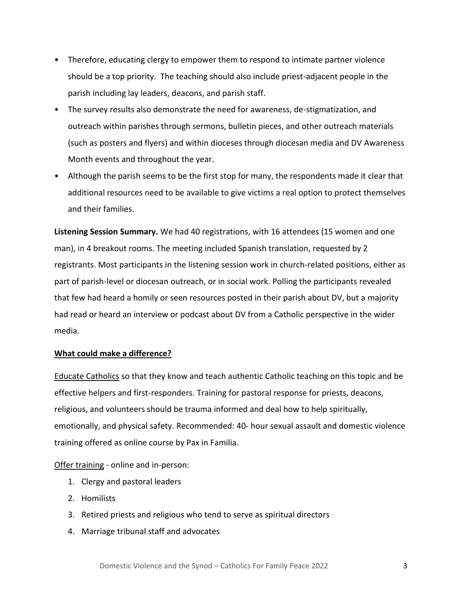- Therefore, educating clergy to empower them to respond to intimate partner violence should be a top priority. The teaching should also include priest-adjacent people in the parish including lay leaders, deacons, and parish staff.
- The survey results also demonstrate the need for awareness, de-stigmatization, and outreach within parishes through sermons, bulletin pieces, and other outreach materials (such as posters and flyers) and within dioceses through diocesan media and DV Awareness Month events and throughout the year.
- Although the parish seems to be the first stop for many, the respondents made it clear that additional resources need to be available to give victims a real option to protect themselves and their families.

**Listening Session Summary.** We had 40 registrations, with 16 attendees (15 women and one man), in 4 breakout rooms. The meeting included Spanish translation, requested by 2 registrants. Most participants in the listening session work in church-related positions, either as part of parish-level or diocesan outreach, or in social work. Polling the participants revealed that few had heard a homily or seen resources posted in their parish about DV, but a majority had read or heard an interview or podcast about DV from a Catholic perspective in the wider media.

#### **What could make a difference?**

**Educate Catholics** so that they know and teach authentic Catholic teaching on this topic and be effective helpers and first-responders. Training for pastoral response for priests, deacons, religious, and volunteers should be trauma informed and deal how to help spiritually, emotionally, and physical safety. Recommended: 40- hour sexual assault and domestic violence training offered as online course by Pax in Familia.

Offer training - online and in-person:

- 1. Clergy and pastoral leaders
- 2. Homilists
- 3. Retired priests and religious who tend to serve as spiritual directors
- 4. Marriage tribunal staff and advocates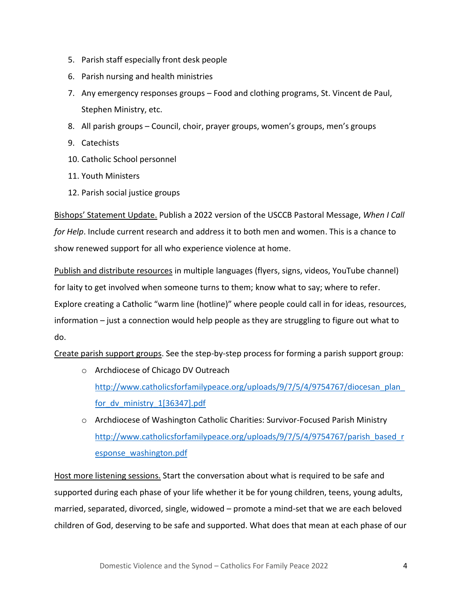- 5. Parish staff especially front desk people
- 6. Parish nursing and health ministries
- 7. Any emergency responses groups Food and clothing programs, St. Vincent de Paul, Stephen Ministry, etc.
- 8. All parish groups Council, choir, prayer groups, women's groups, men's groups
- 9. Catechists
- 10. Catholic School personnel
- 11. Youth Ministers
- 12. Parish social justice groups

Bishops' Statement Update. Publish a 2022 version of the USCCB Pastoral Message, *When I Call for Help*. Include current research and address it to both men and women. This is a chance to show renewed support for all who experience violence at home.

Publish and distribute resources in multiple languages (flyers, signs, videos, YouTube channel) for laity to get involved when someone turns to them; know what to say; where to refer. Explore creating a Catholic "warm line (hotline)" where people could call in for ideas, resources, information – just a connection would help people as they are struggling to figure out what to do.

Create parish support groups. See the step-by-step process for forming a parish support group:

- o Archdiocese of Chicago DV Outreach [http://www.catholicsforfamilypeace.org/uploads/9/7/5/4/9754767/diocesan\\_plan\\_](http://www.catholicsforfamilypeace.org/uploads/9/7/5/4/9754767/diocesan_plan_for_dv_ministry_1%5b36347%5d.pdf) for dv ministry 1[36347].pdf
- o Archdiocese of Washington Catholic Charities: Survivor-Focused Parish Ministry [http://www.catholicsforfamilypeace.org/uploads/9/7/5/4/9754767/parish\\_based\\_r](http://www.catholicsforfamilypeace.org/uploads/9/7/5/4/9754767/parish_based_response_washington.pdf) [esponse\\_washington.pdf](http://www.catholicsforfamilypeace.org/uploads/9/7/5/4/9754767/parish_based_response_washington.pdf)

Host more listening sessions. Start the conversation about what is required to be safe and supported during each phase of your life whether it be for young children, teens, young adults, married, separated, divorced, single, widowed – promote a mind-set that we are each beloved children of God, deserving to be safe and supported. What does that mean at each phase of our